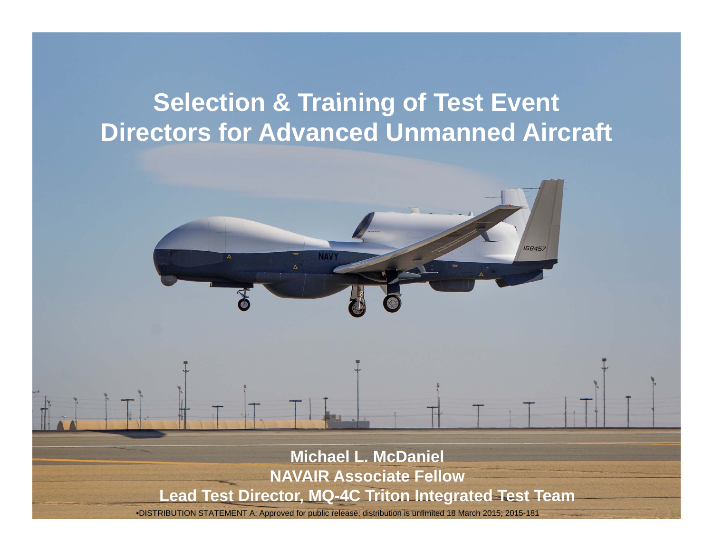#### **Selection & Training of Test Event Directors for Advanced Unmanned Aircraft**

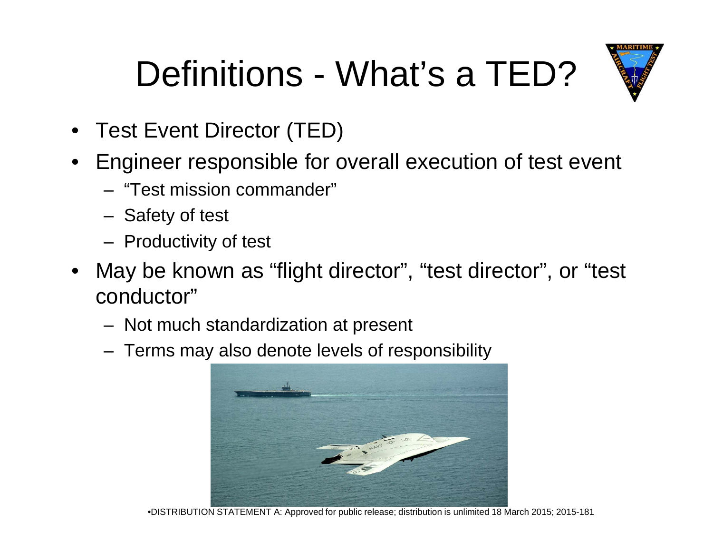### Definitions - What's a TED?



- Test Event Director (TED)
- Engineer responsible for overall execution of test event
	- "Test mission commander"
	- Safety of test
	- Productivity of test
- May be known as "flight director", "test director", or "test conductor"
	- Not much standardization at present
	- Terms may also denote levels of responsibility



•DISTRIBUTION STATEMENT A: Approved for public release; distribution is unlimited 18 March 2015; 2015-181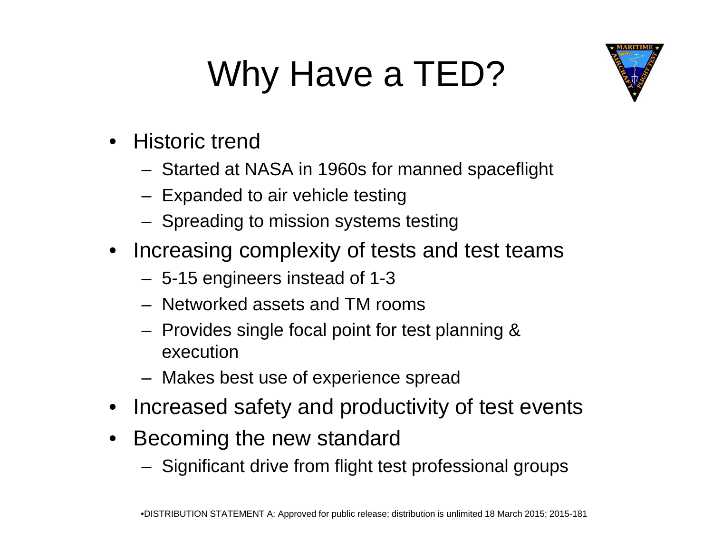## Why Have a TED?



- Historic trend
	- $-$  Started at NASA in 1960s for manned spaceflight
	- Expanded to air vehicle testing
	- Spreading to mission systems testing
- Increasing complexity of tests and test teams
	- 5-15 engineers instead of 1-3
	- $-$  Networked assets and TM rooms
	- Provides single focal point for test planning & execution
	- Makes best use of experience spread
- Increased safety and productivity of test events
- • Becomin g the new standard
	- Significant drive from flight test professional groups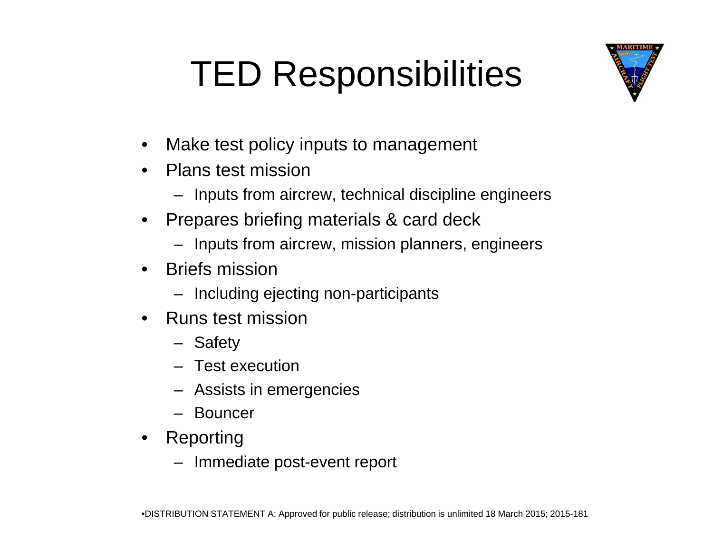### TED Responsibilities



- •Make test policy inputs to management
- $\bullet$  Plans test mission
	- Inputs from aircrew, technical discipline engineers
- • Prepares briefing materials & card deck
	- Inputs from aircrew, mission planners, engineers
- Briefs mission
	- Including ejecting non-participants
- • Runs test mission
	- Safety
	- Test execution
	- Assists in emergencies
	- Bouncer
- Reporting
	- Immediate post-event report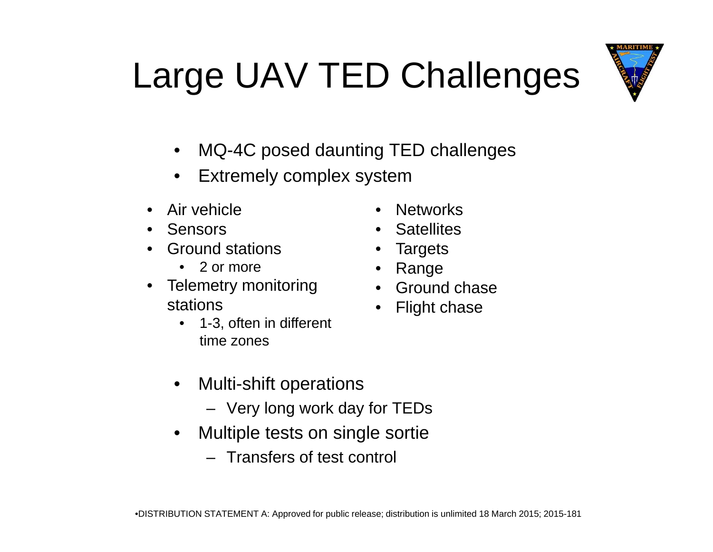# Large UAV TED Challenges



- $\bullet$ MQ-4C posed daunting TED challenges
- $\bullet$ • Extremely complex system
- Air vehicle
- Sensors
- Ground stations
	- 2 or more
- Telemetry monitoring Ground chase stations
	- 1-3, often in different time zones
	- Multi-shift operations  $\bullet$ 
		- Very long work day for TEDs
	- $\bullet$  Multiple tests on single sortie
		- Transfers of test control
- •Networks
- Satellites
- Targets
- Range
- 
- Flight chase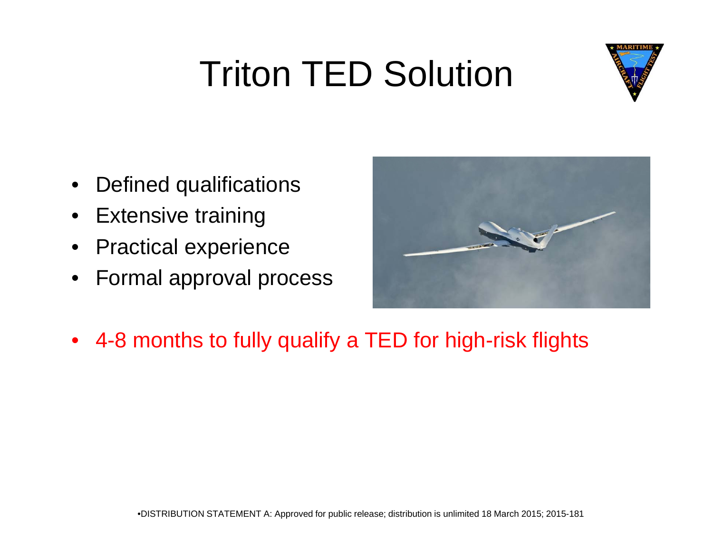### Triton TED Solution



- •Defined qualifications
- •Extensive training
- $\bullet$ Practical experience
- $\bullet$ Formal approval process



 $\bullet$ 4-8 months to fully qualify a TED for high-risk flights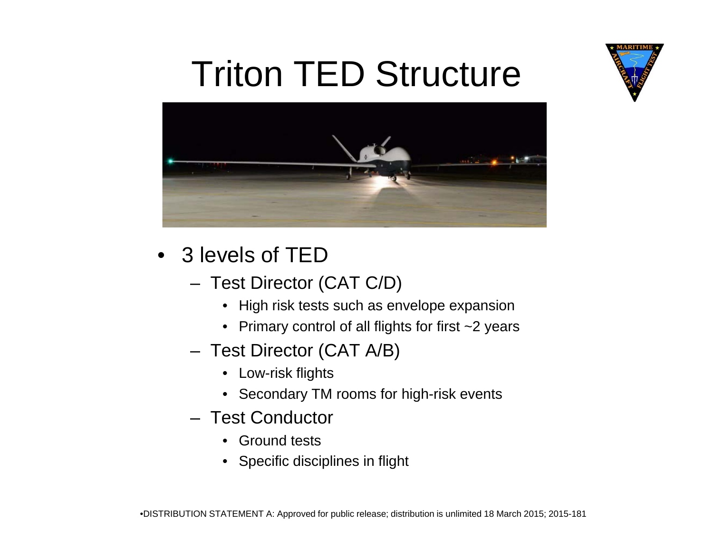

#### Triton TED Structure



- 3 levels of TED
	- Test Director (CAT C/D)
		- High risk tests such as envelope expansion
		- Primary control of all flights for first ~2 years
	- Test Director (CAT A/B)
		- Low-risk fli ghts
		- Secondary TM rooms for high-risk events
	- Test Conductor
		- Ground tests
		- Specific disciplines in flight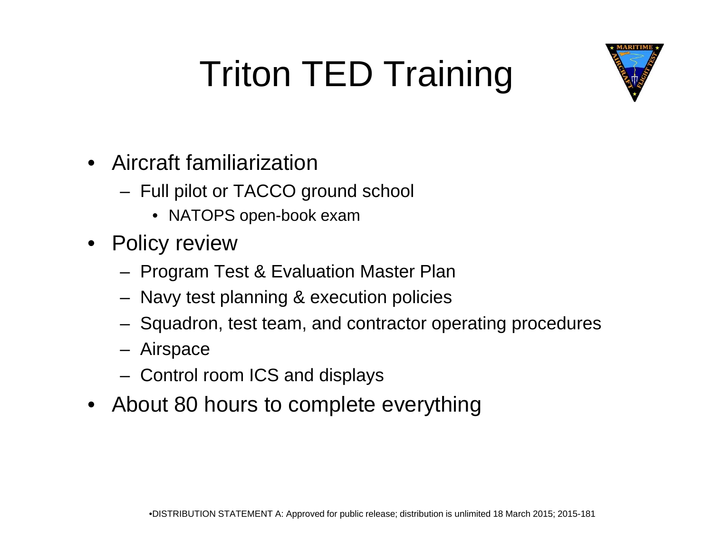![](_page_7_Picture_0.jpeg)

## Triton TED Training

- •Aircraft familiarization
	- Full pilot or TACCO ground school
		- NATOPS open-book exam
- Policy review
	- Program Test & Evaluation Master Plan
	- Navy test planning & execution policies
	- Squadron, test team, and contractor operating procedures
	- Airspace
	- Control room ICS and displays
- About 80 hours to complete everything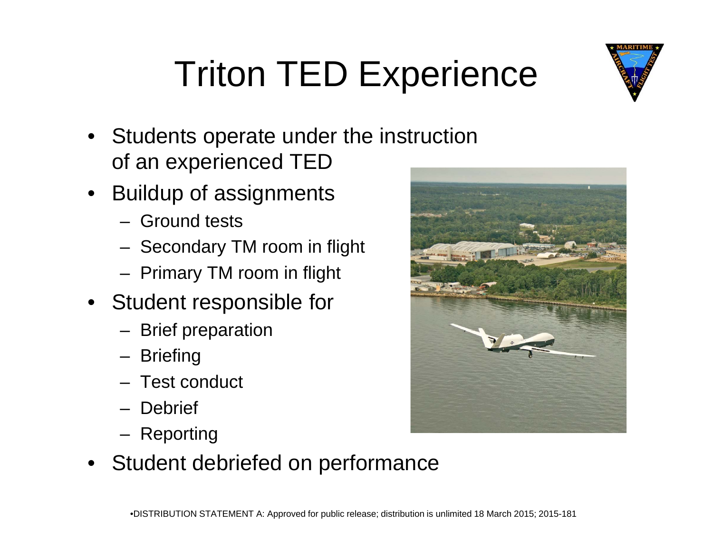![](_page_8_Picture_0.jpeg)

### Triton TED Experience

- Students operate under the instruction of an ex perienced TED
- Buildup of assignments
	- Ground tests
	- Secondary TM room in flight
	- Primary TM room in flight
- Student res ponsible fo r
	- Brief preparation
	- **Briefing**
	- Test conduct
	- Debrief
	- Reporting
- Student debriefed on performance

![](_page_8_Picture_14.jpeg)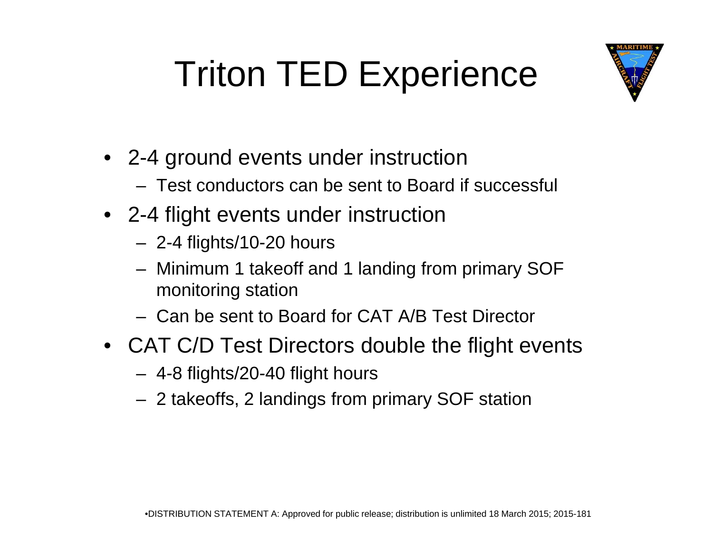### Triton TED Experience

![](_page_9_Picture_1.jpeg)

- 2-4 ground events under instruction
	- Test conductors can be sent to Board if successful
- 2-4 flight events under instruction
	- 2-4 flights/10-20 hours
	- Minimum 1 takeoff and 1 landing from primary SOF monitoring station
	- Can be sent to Board for CAT A/B Test Director
- CAT C/D Test Directors double the flight events
	- 4-8 fli ghts/20-40 fli ght hours
	- 2 takeoffs, 2 landings from primary SOF station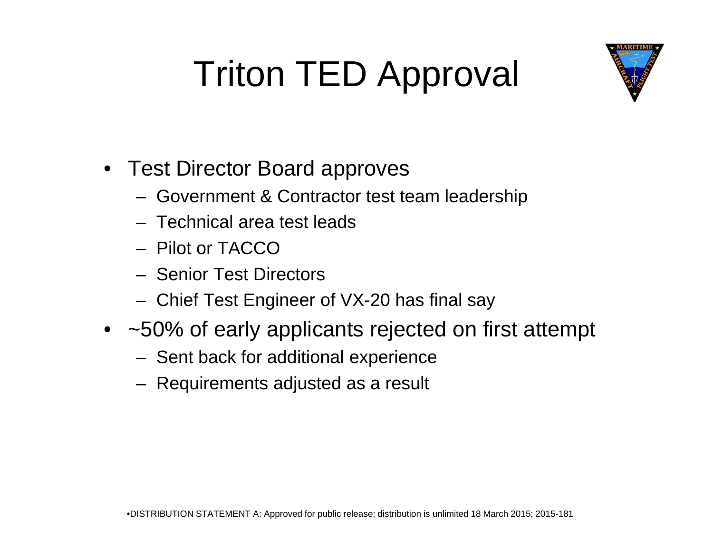### Triton TED Approval

![](_page_10_Picture_1.jpeg)

- Test Director Board approves
	- Government & Contractor test team leadership
	- Technical area test leads
	- Pilot or TACCO
	- Senior Test Directors
	- Chief Test Engineer of VX-20 has final say
- ~50% of early applicants rejected on first attempt
	- Sent back for additional experience
	- Requirements adjusted as a result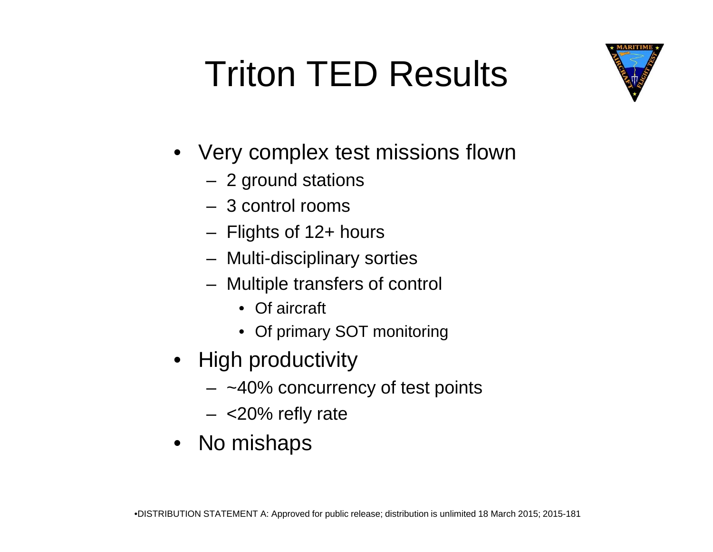### Triton TED Results

![](_page_11_Picture_1.jpeg)

- Very complex test missions flown
	- 2 ground stations
	- 3 control rooms
	- Fli ghts of 12+ hours
	- Multi-disciplinary sorties
	- Multiple transfers of control
		- Of aircraft
		- Of primary SOT monitoring
- High productivity
	- $~\sim$ 40% concurrency of test points
	- <20% refly rate
- No mishaps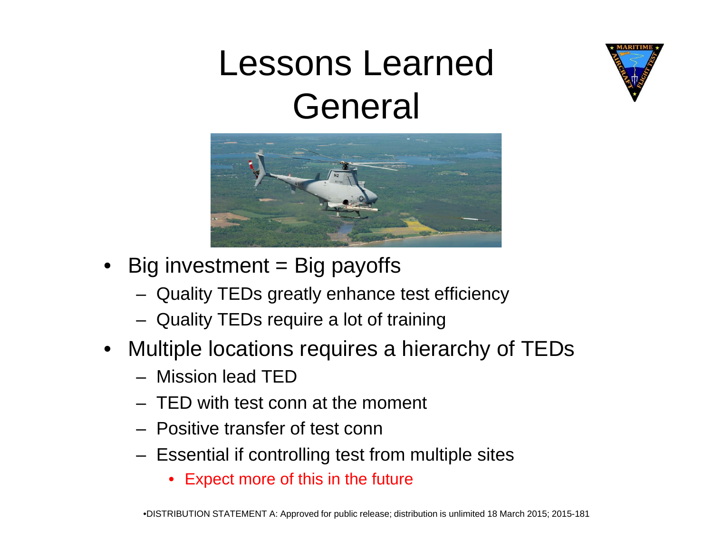#### Lessons Learned General

![](_page_12_Picture_1.jpeg)

- $\bullet~$  Big investment = Big payoffs
	- Quality TEDs greatly enhance test efficiency
	- Quality TEDs require a lot of training
- Multiple locations requires a hierarchy of TEDs
	- Mission lead TED
	- TED with test conn at the moment
	- Positive transfer of test conn
	- $-$  Essential if controlling test from multiple sites
		- Expect more of this in the future

![](_page_12_Picture_12.jpeg)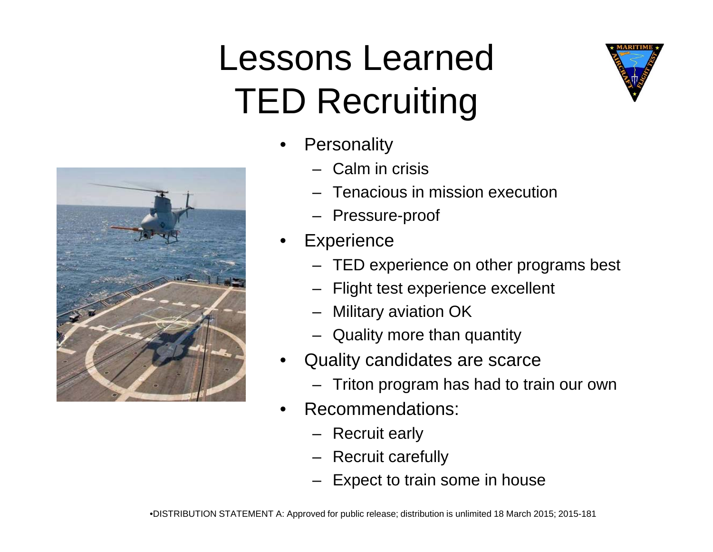#### Lessons Learned TED Recruiting

![](_page_13_Picture_1.jpeg)

- •**Personality** 
	- Calm in crisis
	- Tenacious in mission execution
	- Pressure-proof
- •**Experience** 
	- TED experience on other programs best
	- Flight test experience excellent
	- Military aviation OK
	- Quality more than quantity
- • Quality candidates are scarce
	- Triton program has had to train our own
- • Recommendations:
	- Recruit early
	- Recruit carefully
	- Expect to train some in house

![](_page_13_Picture_18.jpeg)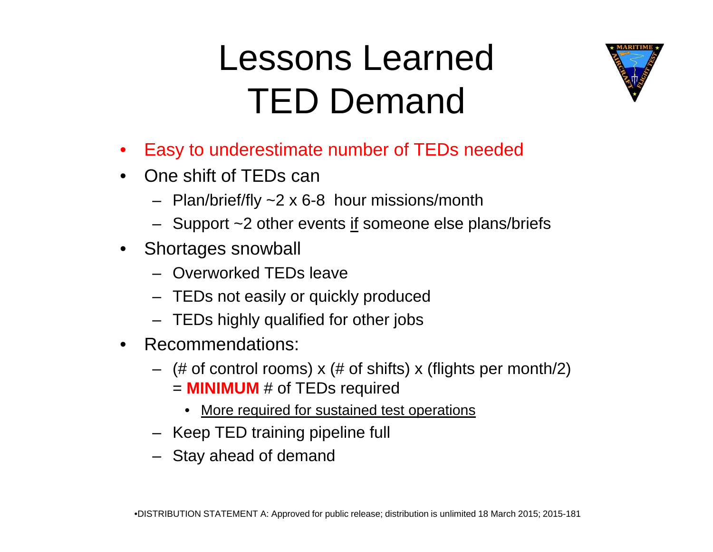#### Lessons Learned TED Demand

![](_page_14_Picture_1.jpeg)

- $\bullet$ Easy to underestimate number of TEDs needed
- One shift of TEDs can
	- Plan/brief/fly ~2 x 6-8 hour missions/month
	- Support ~2 other events <u>if</u> someone else plans/briefs
- Shortages snowball
	- Overworked TEDs leave
	- TEDs not easily or quickly produced
	- TEDs highly qualified for other jobs
- Recommendations:
	- (# of control rooms) x (# of shifts) x (flights per month/2) = **MINIMUM** # of TEDs required
		- More required for sustained test operations
	- Keep TED training pipeline full
	- Stay ahead of demand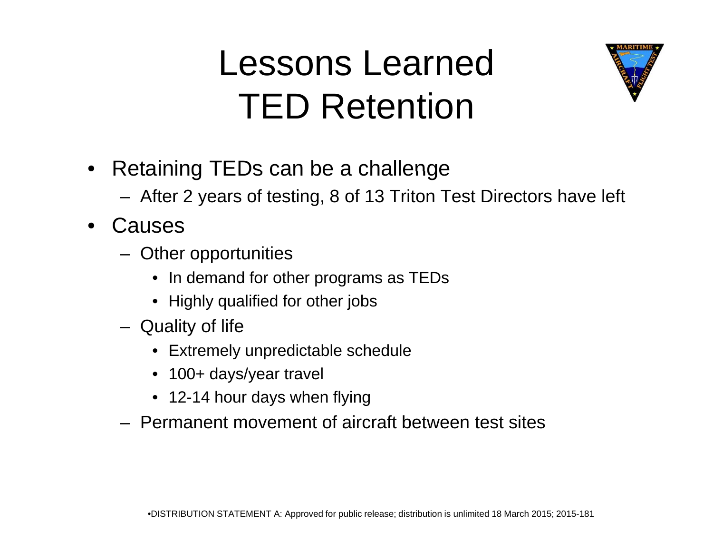#### Lessons Learned TED Retention

![](_page_15_Picture_1.jpeg)

- $\bullet$  $\bullet~$  Retaining TEDs can be a challenge
	- After 2 years of testing, 8 of 13 Triton Test Directors have left
- $\bullet$ **Causes** 
	- Other opportunities
		- In demand for other programs as TEDs
		- Highly qualified for other jobs
	- Quality of life
		- Extremely unpredictable schedule
		- 100+ days/year travel
		- 12-14 hour days when flying
	- Permanent movement of aircraft between test sites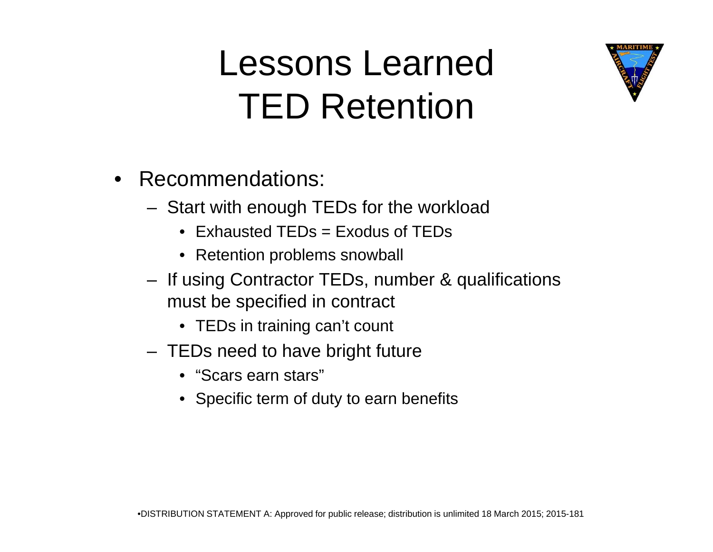#### Lessons Learned TED Retention

![](_page_16_Picture_1.jpeg)

- Start with enough TEDs for the workload
	- Exhausted TEDs = Exodus of TEDs
	- Retention problems snowball
- If using Contractor TEDs, number & qualifications must be s pecified in contract
	- TEDs in training can't count
- TEDs need to have bright future
	- $\bullet \,$  "Scars earn stars"
	- Specific term of duty to earn benefits

![](_page_16_Picture_11.jpeg)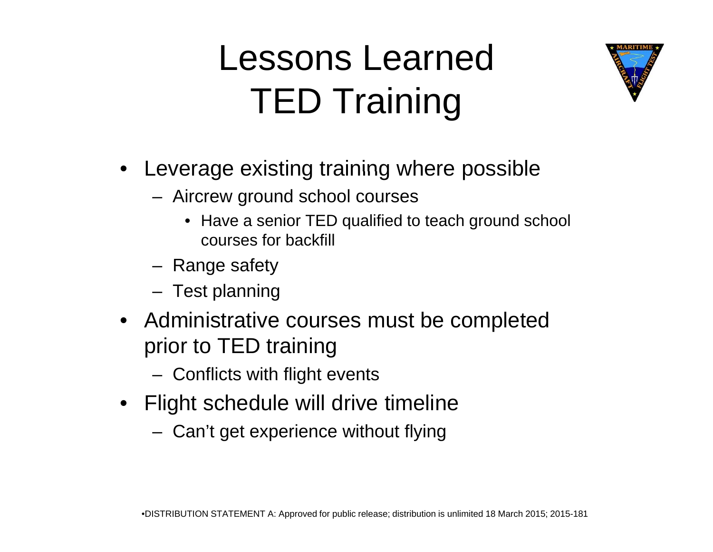#### Lessons Learned TED Training

![](_page_17_Picture_1.jpeg)

- Leverage existing training where possible
	- Aircrew ground school courses
		- Have a senior TED qualified to teach ground school courses for backfill
	- Range safety
	- Test planning
- Administrative courses must be completed prior to TED training
	- $-$  Conflicts with flight events
- Flight schedule will drive timeline
	- Can't get experience without flying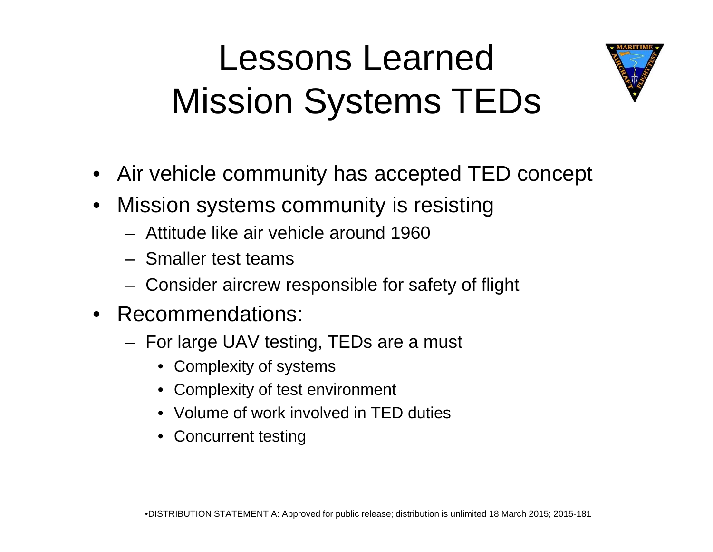#### Lessons Learned Mission Systems TEDs

![](_page_18_Picture_1.jpeg)

- $\bullet~$  Air vehicle community has accepted TED concept
- $\bullet$  Mission systems community is resisting
	- Attitude like air vehicle around 1960
	- Smaller test teams
	- Consider aircrew responsible for safety of flight
- Recommendations:
	- For large UAV testing, TEDs are a must
		- Complexity of systems
		- Complexity of test environment
		- Volume of work involved in TED duties
		- Concurrent testing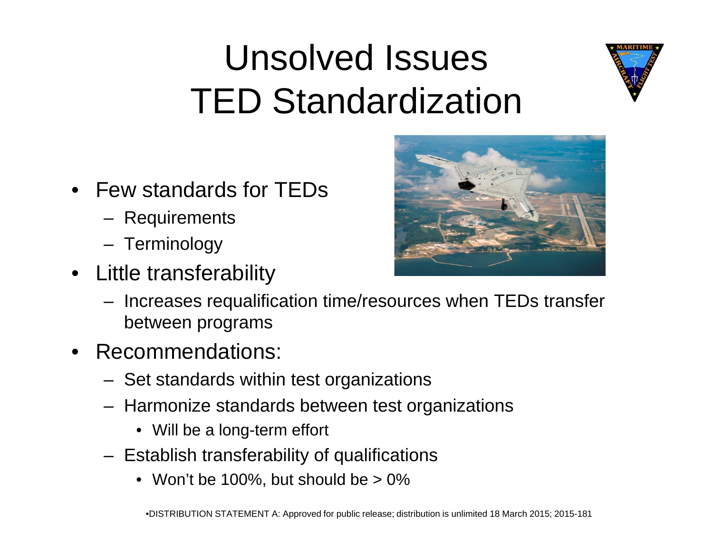### Unsolved Issues TED Standardization

![](_page_19_Picture_1.jpeg)

- Few standards for TEDs
	- **Requirements**
	- Terminology
- Little transferability

![](_page_19_Picture_6.jpeg)

- Increases re qualification time/resources when TEDs transfer between programs
- • Recommendations:
	- $-$  Set standards within test organizations
	- Harmonize standards between test organizations
		- Will be a long-term effort
	- Establish transferability of qualifications
		- Won't be 100%, but should be > 0%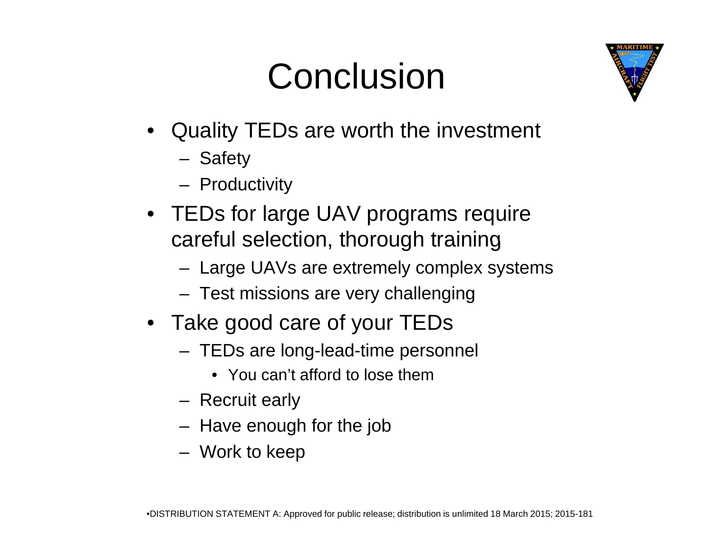### Conclusion

![](_page_20_Picture_1.jpeg)

- Quality TEDs are worth the investment
	- Safety
	- **Productivity**
- TEDs for large UAV programs require careful selection, thorough training
	- Large UAVs are extremely complex systems
	- Test missions are very challenging
- Take good care of your TEDs
	- TEDs are long-lead-time personnel
		- You can't afford to lose them
	- Recruit early
	- Have enough for the job
	- Work to keep